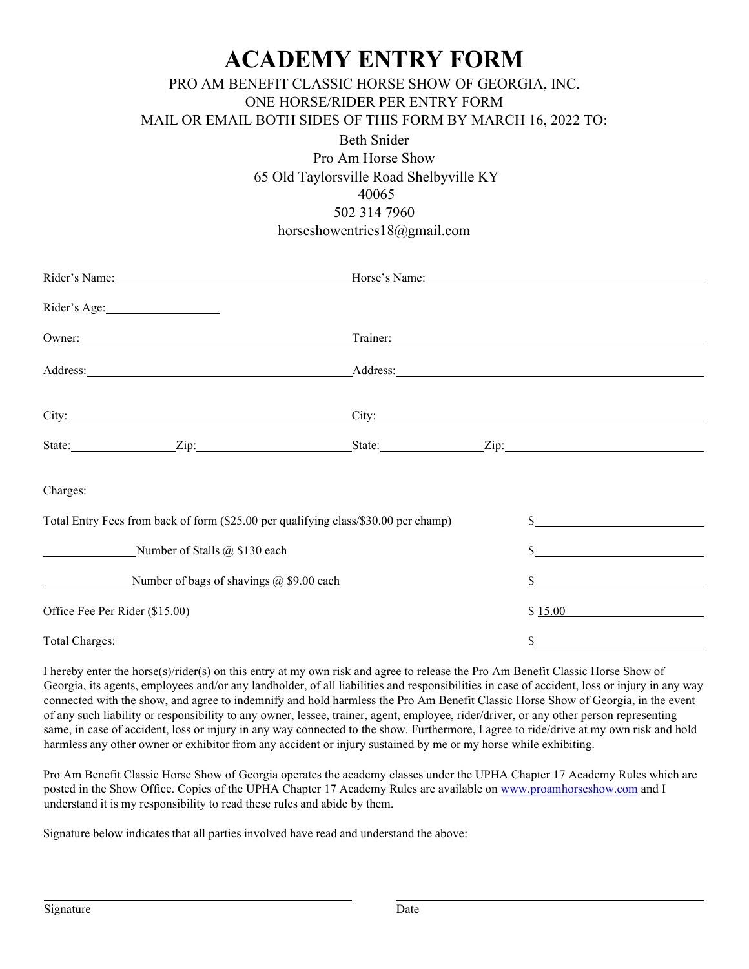## **ACADEMY ENTRY FORM** PRO AM BENEFIT CLASSIC HORSE SHOW OF GEORGIA, INC. ONE HORSE/RIDER PER ENTRY FORM MAIL OR EMAIL BOTH SIDES OF THIS FORM BY MARCH 16, 2022 TO:

#### Beth Snider Pro Am Horse Show 65 Old Taylorsville Road Shelbyville KY 40065 502 314 7960 [horseshowentries18@gmail.com](mailto:horseshowentries18@gmail.com)

| Rider's Age:                                                                        |  |                                                                                                                                                                                                                               |  |
|-------------------------------------------------------------------------------------|--|-------------------------------------------------------------------------------------------------------------------------------------------------------------------------------------------------------------------------------|--|
| Owner:                                                                              |  | Trainer: The Commission of the Commission of the Commission of the Commission of the Commission of the Commission of the Commission of the Commission of the Commission of the Commission of the Commission of the Commission |  |
|                                                                                     |  |                                                                                                                                                                                                                               |  |
|                                                                                     |  | City:                                                                                                                                                                                                                         |  |
|                                                                                     |  |                                                                                                                                                                                                                               |  |
| Charges:                                                                            |  |                                                                                                                                                                                                                               |  |
| Total Entry Fees from back of form (\$25.00 per qualifying class/\$30.00 per champ) |  |                                                                                                                                                                                                                               |  |
| Number of Stalls @ \$130 each                                                       |  |                                                                                                                                                                                                                               |  |
| Number of bags of shavings $@$ \$9.00 each                                          |  |                                                                                                                                                                                                                               |  |
| Office Fee Per Rider (\$15.00)                                                      |  | \$15.00                                                                                                                                                                                                                       |  |
| Total Charges:                                                                      |  | $S_{\perp}$                                                                                                                                                                                                                   |  |

I hereby enter the horse(s)/rider(s) on this entry at my own risk and agree to release the Pro Am Benefit Classic Horse Show of Georgia, its agents, employees and/or any landholder, of all liabilities and responsibilities in case of accident, loss or injury in any way connected with the show, and agree to indemnify and hold harmless the Pro Am Benefit Classic Horse Show of Georgia, in the event of any such liability or responsibility to any owner, lessee, trainer, agent, employee, rider/driver, or any other person representing same, in case of accident, loss or injury in any way connected to the show. Furthermore, I agree to ride/drive at my own risk and hold harmless any other owner or exhibitor from any accident or injury sustained by me or my horse while exhibiting.

Pro Am Benefit Classic Horse Show of Georgia operates the academy classes under the UPHA Chapter 17 Academy Rules which are posted in the Show Office. Copies of the UPHA Chapter 17 Academy Rules are available on [www.proamhorseshow.com](http://www.proamhorseshow.com/) and I understand it is my responsibility to read these rules and abide by them.

Signature below indicates that all parties involved have read and understand the above: